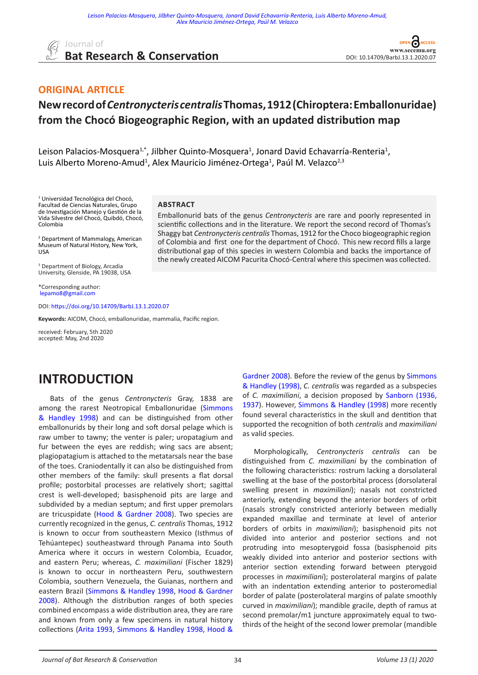

് **CESS** DOI: [10.14709/BarbJ.13.1.2020.07](https://doi.org/10.14709/BarbJ.13.1.2020.07)

#### **ORIGINAL ARTICLE**

### **New record of** *Centronycteris centralis* **Thomas, 1912 (Chiroptera: Emballonuridae) from the Chocó Biogeographic Region, with an updated distribution map**

Emballonurid bats of the genus *Centronycteris* are rare and poorly represented in scientific collections and in the literature. We report the second record of Thomas's Shaggy bat *Centronycteris centralis* Thomas, 1912 for the Choco biogeographic region of Colombia and first one for the department of Chocó. This new record fills a large distributional gap of this species in western Colombia and backs the importance of the newly created AICOM Pacurita Chocó-Central where this specimen was collected.

Leison Palacios-Mosquera<sup>1,\*</sup>, Jilbher Quinto-Mosquera<sup>1</sup>, Jonard David Echavarría-Renteria<sup>1</sup>, Luis Alberto Moreno-Amud<sup>1</sup>, Alex Mauricio Jiménez-Ortega<sup>1</sup>, Paúl M. Velazco<sup>2,3</sup>

**ABSTRACT**

1 Universidad Tecnológica del Chocó, Facultad de Ciencias Naturales, Grupo de Investigación Manejo y Gestión de la Vida Silvestre del Chocó, Quibdó, Chocó, Colombia

2 Department of Mammalogy, American Museum of Natural History, New York, USA

3 Department of Biology, Arcadia University, Glenside, PA 19038, USA

\*Corresponding author: [lepamo8@gmail.com](mailto:lepamo8%40gmail.com?subject=)

DOI: [https://doi.org/10.14709/BarbJ.13.1.2020.0](https://doi.org/10.14709/BarbJ.13.1.2020.07)7

**Keywords:** AICOM, Chocó, emballonuridae, mammalia, Pacific region.

received: February, 5th 2020 accepted: May, 2nd 2020

#### **INTRODUCTION**

Bats of the genus *Centronycteris* Gray, 1838 are among the rarest Neotropical Emballonuridae ([Simmons](#page-3-0) [& Handley 1998](#page-3-0)) and can be distinguished from other emballonurids by their long and soft dorsal pelage which is raw umber to tawny; the venter is paler; uropatagium and fur between the eyes are reddish; wing sacs are absent; plagiopatagium is attached to the metatarsals near the base of the toes. Craniodentally it can also be distinguished from other members of the family: skull presents a flat dorsal profile; postorbital processes are relatively short; sagittal crest is well-developed; basisphenoid pits are large and subdivided by a median septum; and first upper premolars are tricuspidate ([Hood & Gardner 2008\)](#page-3-0). Two species are currently recognized in the genus, *C. centralis* Thomas, 1912 is known to occur from southeastern Mexico (Isthmus of Tehúantepec) southeastward through Panama into South America where it occurs in western Colombia, Ecuador, and eastern Peru; whereas, *C. maximiliani* (Fischer 1829) is known to occur in northeastern Peru, southwestern Colombia, southern Venezuela, the Guianas, northern and eastern Brazil ([Simmons & Handley 1998](#page-3-0), [Hood & Gardner](#page-3-0) [2008](#page-3-0)). Although the distribution ranges of both species combined encompass a wide distribution area, they are rare and known from only a few specimens in natural history collections [\(Arita 1993](#page-3-0), [Simmons & Handley 1998](#page-3-0), [Hood &](#page-3-0)

[Gardner 2008](#page-3-0)). Before the review of the genus by [Simmons](#page-3-0) [& Handley \(1998\)](#page-3-0), *C. centralis* was regarded as a subspecies of *C. maximiliani*, a decision proposed by [Sanborn \(1936](#page-3-0), [1937](#page-3-0)). However, [Simmons & Handley \(1998\)](#page-3-0) more recently found several characteristics in the skull and dentition that supported the recognition of both *centralis* and *maximiliani* as valid species.

Morphologically, *Centronycteris centralis* can be distinguished from *C. maximiliani* by the combination of the following characteristics: rostrum lacking a dorsolateral swelling at the base of the postorbital process (dorsolateral swelling present in *maximiliani*); nasals not constricted anteriorly, extending beyond the anterior borders of orbit (nasals strongly constricted anteriorly between medially expanded maxillae and terminate at level of anterior borders of orbits in *maximiliani*); basisphenoid pits not divided into anterior and posterior sections and not protruding into mesopterygoid fossa (basisphenoid pits weakly divided into anterior and posterior sections with anterior section extending forward between pterygoid processes in *maximiliani*); posterolateral margins of palate with an indentation extending anterior to posteromedial border of palate (posterolateral margins of palate smoothly curved in *maximiliani*); mandible gracile, depth of ramus at second premolar/m1 juncture approximately equal to twothirds of the height of the second lower premolar (mandible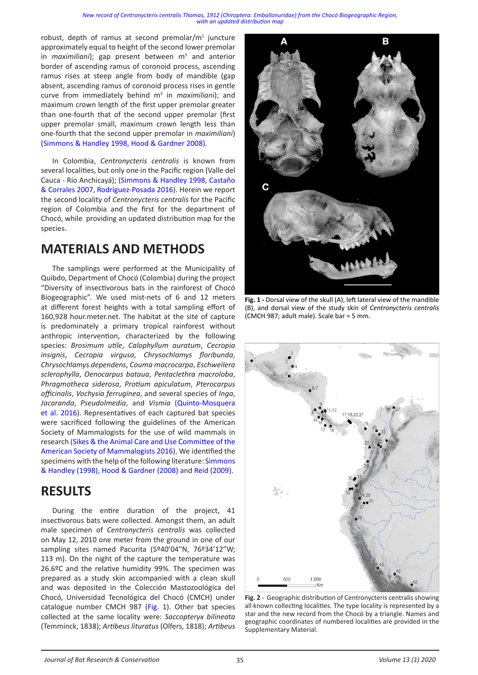#### *[New record of Centronycteris centralis Thomas, 1912 \(Chiroptera: Emballonuridae\) from the Chocó Biogeographic Region,](https://doi.org/10.14709/BarbJ.13.1.2020.07)  [with an updated distribution map](https://doi.org/10.14709/BarbJ.13.1.2020.07)*

<span id="page-1-0"></span>robust, depth of ramus at second premolar/ $m<sup>1</sup>$  juncture approximately equal to height of the second lower premolar in *maximiliani*); gap present between m<sup>3</sup> and anterior border of ascending ramus of coronoid process, ascending ramus rises at steep angle from body of mandible (gap absent, ascending ramus of coronoid process rises in gentle curve from immediately behind m<sup>3</sup> in *maximiliani*); and maximum crown length of the first upper premolar greater than one-fourth that of the second upper premolar (first upper premolar small, maximum crown length less than one-fourth that the second upper premolar in *maximiliani*) ([Simmons & Handley 1998](#page-3-0), [Hood & Gardner 2008](#page-3-0)).

In Colombia, *Centronycteris centralis* is known from several localities, but only one in the Pacific region (Valle del Cauca - Río Anchicayá); ([Simmons & Handley 1998](#page-3-0), [Castaño](#page-3-0) [& Corrales 2007](#page-3-0), [Rodríguez-Posada 2016\)](#page-3-0). Herein we report the second locality of *Centronycteris centralis* for the Pacific region of Colombia and the first for the department of Chocó, while providing an updated distribution map for the species.

## **MATERIALS AND METHODS**

The samplings were performed at the Municipality of Quibdo, Department of Chocó (Colombia) during the project "Diversity of insectivorous bats in the rainforest of Chocó Biogeographic". We used mist-nets of 6 and 12 meters at different forest heights with a total sampling effort of 160,928 hour.meter.net. The habitat at the site of capture is predominately a primary tropical rainforest without anthropic intervention, characterized by the following species: *Brosimum utile*, *Calophyllum auratum*, *Cecropia insignis*, *Cecropia virgusa*, *Chrysochlamys floribunda*, *Chrysochlamys dependens*, *Couma macrocarpa*, *Eschweilera sclerophylla*, *Oenocarpus bataua*, *Pentaclethra macroloba*, *Phragmotheca siderosa*, *Protium apiculatum*, *Pterocarpus officinalis*, *Vochysia ferruginea*, and several species of *Inga*, *Jacaranda*, *Pseudolmedia*, and *Vismia* ([Quinto-Mosquera](#page-3-0) [et al. 2016\)](#page-3-0). Representatives of each captured bat species were sacrificed following the guidelines of the American Society of Mammalogists for the use of wild mammals in research ([Sikes & the Animal Care and Use Committee of the](#page-3-0) [American Society of Mammalogists 2016](#page-3-0)). We identified the specimens with the help of the following literature: [Simmons](#page-3-0) [& Handley \(1998\)](#page-3-0), [Hood & Gardner \(2008\)](#page-3-0) and [Reid \(2009\)](#page-3-0).

#### **RESULTS**

During the entire duration of the project, 41 insectivorous bats were collected. Amongst them, an adult male specimen of *Centronycteris centralis* was collected on May 12, 2010 one meter from the ground in one of our sampling sites named Pacurita (5º40'04"N, 76º34'12"W; 113 m). On the night of the capture the temperature was 26.6ºC and the relative humidity 99%. The specimen was prepared as a study skin accompanied with a clean skull and was deposited in the Colección Mastozoológica del Chocó, Universidad Tecnológica del Chocó (CMCH) under catalogue number CMCH 987 (Fig. 1). Other bat species collected at the same locality were: *Saccopteryx bilineata* (Temminck, 1838); *Artibeus lituratus* (Olfers, 1818); *Artibeus* 



**Fig. 1 -** Dorsal view of the skull (A), left lateral view of the mandible (B), and dorsal view of the study skin of *Centronycteris centralis*  (CMCH 987; adult male). Scale bar = 5 mm.



**Fig. 2** - Geographic distribution of Centronycteris centralis showing all known collecting localities. The type locality is represented by a star and the new record from the Chocó by a triangle. Names and geographic coordinates of numbered localities are provided in the Supplementary Material.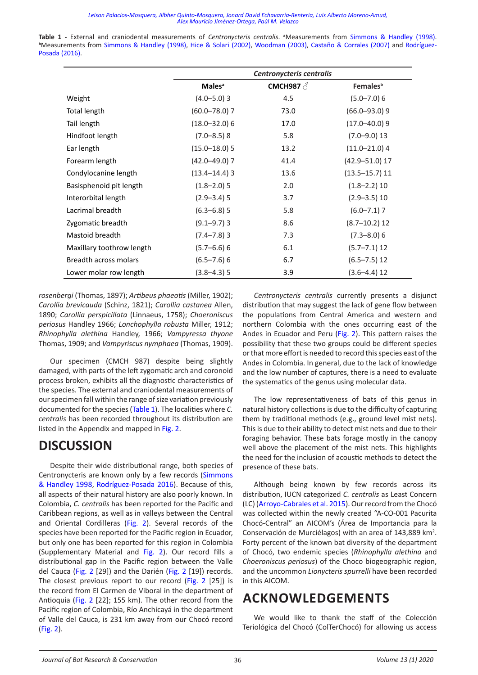*[Leison Palacios-Mosquera, Jilbher Quinto-Mosquera, Jonard David Echavarría-Renteria, Luis Alberto Moreno-Amud,](https://doi.org/10.14709/BarbJ.13.1.2020.07)  [Alex Mauricio Jiménez-Ortega, Paúl M. Velazco](https://doi.org/10.14709/BarbJ.13.1.2020.07)* 

**Table 1 -** External and craniodental measurements of *Centronycteris centralis*. **<sup>a</sup>** Measurements from [Simmons & Handley \(1998\)](#page-3-0). **b** Measurements from [Simmons & Handley \(1998\)](#page-3-0), [Hice & Solari \(2002\)](#page-3-0), [Woodman \(2003\)](#page-3-0), [Castaño & Corrales \(2007\)](#page-3-0) and [Rodríguez-](#page-3-0)[Posada \(2016\)](#page-3-0).

|                           | Centronycteris centralis  |                 |                             |
|---------------------------|---------------------------|-----------------|-----------------------------|
|                           | <b>Males</b> <sup>a</sup> | CMCH987 $\beta$ | <b>Females</b> <sup>b</sup> |
| Weight                    | $(4.0 - 5.0)$ 3           | 4.5             | $(5.0 - 7.0)$ 6             |
| Total length              | $(60.0 - 78.0)$ 7         | 73.0            | $(66.0 - 93.0)9$            |
| Tail length               | $(18.0 - 32.0)$ 6         | 17.0            | $(17.0 - 40.0)$ 9           |
| Hindfoot length           | $(7.0 - 8.5)$ 8           | 5.8             | $(7.0 - 9.0)$ 13            |
| Ear length                | $(15.0 - 18.0)$ 5         | 13.2            | $(11.0 - 21.0)$ 4           |
| Forearm length            | (42.0–49.0) 7             | 41.4            | $(42.9 - 51.0)$ 17          |
| Condylocanine length      | $(13.4 - 14.4)$ 3         | 13.6            | $(13.5 - 15.7)$ 11          |
| Basisphenoid pit length   | $(1.8 - 2.0)$ 5           | 2.0             | $(1.8 - 2.2)$ 10            |
| Interorbital length       | $(2.9 - 3.4)$ 5           | 3.7             | $(2.9 - 3.5)$ 10            |
| Lacrimal breadth          | $(6.3 - 6.8)$ 5           | 5.8             | $(6.0 - 7.1)$ 7             |
| Zygomatic breadth         | $(9.1 - 9.7)$ 3           | 8.6             | $(8.7 - 10.2)$ 12           |
| Mastoid breadth           | $(7.4 - 7.8)$ 3           | 7.3             | $(7.3 - 8.0)$ 6             |
| Maxillary toothrow length | $(5.7 - 6.6)$ 6           | 6.1             | $(5.7 - 7.1)$ 12            |
| Breadth across molars     | $(6.5 - 7.6)$ 6           | 6.7             | $(6.5 - 7.5)$ 12            |
| Lower molar row length    | $(3.8 - 4.3)$ 5           | 3.9             | $(3.6 - 4.4)$ 12            |

*rosenbergi* (Thomas, 1897); *Artibeus phaeotis* (Miller, 1902); *Carollia brevicauda* (Schinz, 1821); *Carollia castanea* Allen, 1890; *Carollia perspicillata* (Linnaeus, 1758); *Choeroniscus periosus* Handley 1966; *Lonchophylla robusta* Miller, 1912; *Rhinophylla alethina* Handley, 1966; *Vampyressa thyone* Thomas, 1909; and *Vampyriscus nymphaea* (Thomas, 1909).

Our specimen (CMCH 987) despite being slightly damaged, with parts of the left zygomatic arch and coronoid process broken, exhibits all the diagnostic characteristics of the species. The external and craniodental measurements of our specimen fall within the range of size variation previously documented for the species (Table 1). The localities where *C. centralis* has been recorded throughout its distribution are listed in the Appendix and mapped in Fig. 2.

#### **DISCUSSION**

Despite their wide distributional range, both species of Centronycteris are known only by a few records ([Simmons](#page-3-0) [& Handley 1998](#page-3-0), [Rodríguez-Posada 2016](#page-3-0)). Because of this, all aspects of their natural history are also poorly known. In Colombia, *C. centralis* has been reported for the Pacific and Caribbean regions, as well as in valleys between the Central and Oriental Cordilleras [\(Fig. 2](#page-1-0)). Several records of the species have been reported for the Pacific region in Ecuador, but only one has been reported for this region in Colombia (Supplementary Material and [Fig. 2](#page-1-0)). Our record fills a distributional gap in the Pacific region between the Valle del Cauca [\(Fig. 2](#page-1-0) [29]) and the Darién ([Fig. 2](#page-1-0) [19]) records. The closest previous report to our record ([Fig. 2](#page-1-0) [25]) is the record from El Carmen de Viboral in the department of Antioquia ([Fig. 2](#page-1-0) [22]; 155 km). The other record from the Pacific region of Colombia, Río Anchicayá in the department of Valle del Cauca, is 231 km away from our Chocó record [\(Fig. 2\)](#page-1-0).

*Centronycteris centralis* currently presents a disjunct distribution that may suggest the lack of gene flow between the populations from Central America and western and northern Colombia with the ones occurring east of the Andes in Ecuador and Peru ([Fig. 2](#page-1-0)). This pattern raises the possibility that these two groups could be different species or that more effort is needed to record this species east of the Andes in Colombia. In general, due to the lack of knowledge and the low number of captures, there is a need to evaluate the systematics of the genus using molecular data.

The low representativeness of bats of this genus in natural history collections is due to the difficulty of capturing them by traditional methods (e.g., ground level mist nets). This is due to their ability to detect mist nets and due to their foraging behavior. These bats forage mostly in the canopy well above the placement of the mist nets. This highlights the need for the inclusion of acoustic methods to detect the presence of these bats.

Although being known by few records across its distribution, IUCN categorized *C. centralis* as Least Concern (LC) ([Arroyo-Cabrales et al. 2015](#page-3-0)). Our record from the Chocó was collected within the newly created "A-CO-001 Pacurita Chocó-Central" an AICOM's (Área de Importancia para la Conservación de Murciélagos) with an area of 143,889 km<sup>2</sup>. Forty percent of the known bat diversity of the department of Chocó, two endemic species (*Rhinophylla alethina* and *Choeroniscus periosus*) of the Choco biogeographic region, and the uncommon *Lionycteris spurrelli* have been recorded in this AICOM.

#### **ACKNOWLEDGEMENTS**

We would like to thank the staff of the Colección Teriológica del Chocó (ColTerChocó) for allowing us access